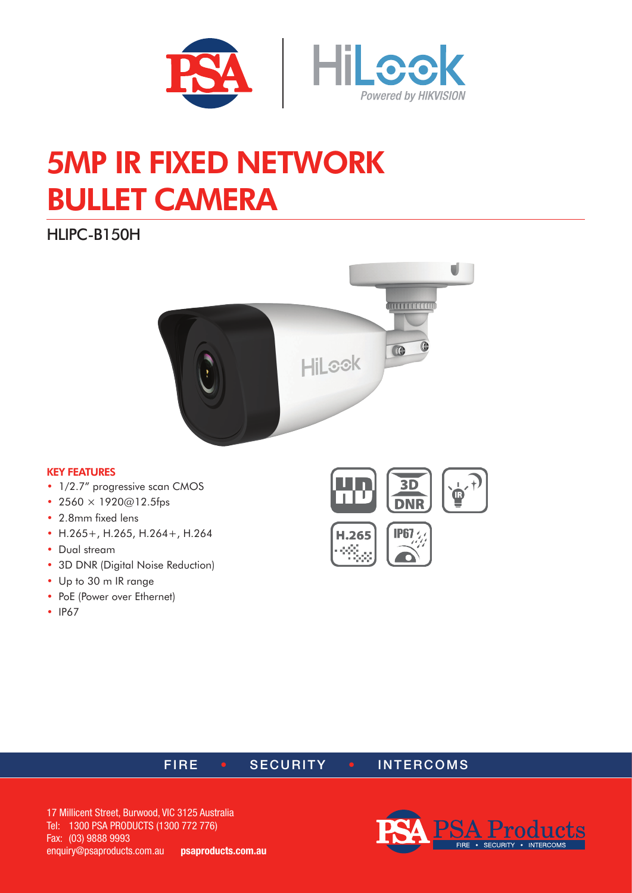

# 5MP IR FIXED NETWORK BULLET CAMERA

HLIPC-B150H



#### KEY FEATURES

- 1/2.7" progressive scan CMOS
- 2560  $\times$  1920 $@12.5$ fps
- 2.8mm fixed lens
- H.265+, H.265, H.264+, H.264
- Dual stream
- 3D DNR (Digital Noise Reduction)
- Up to 30 m IR range
- PoE (Power over Ethernet)
- IP67





## FIRE • SECURITY • INTERCOMS

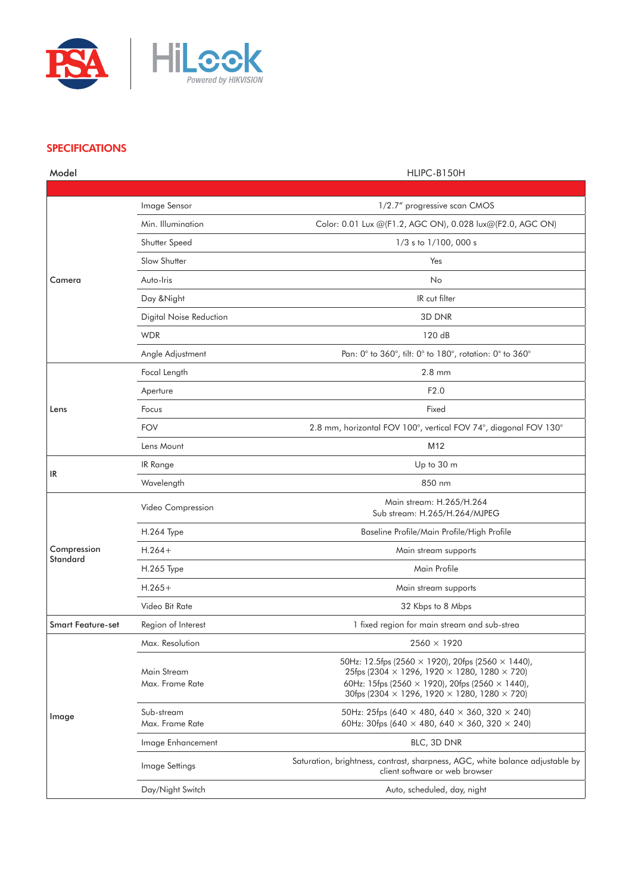

### **SPECIFICATIONS**

| Model                    |                                | HLIPC-B150H                                                                                                                                                                                                                                                                |
|--------------------------|--------------------------------|----------------------------------------------------------------------------------------------------------------------------------------------------------------------------------------------------------------------------------------------------------------------------|
|                          |                                |                                                                                                                                                                                                                                                                            |
| Camera                   | Image Sensor                   | 1/2.7" progressive scan CMOS                                                                                                                                                                                                                                               |
|                          | Min. Illumination              | Color: 0.01 Lux @(F1.2, AGC ON), 0.028 lux@(F2.0, AGC ON)                                                                                                                                                                                                                  |
|                          | Shutter Speed                  | 1/3 s to 1/100, 000 s                                                                                                                                                                                                                                                      |
|                          | Slow Shutter                   | Yes                                                                                                                                                                                                                                                                        |
|                          | Auto-Iris                      | No                                                                                                                                                                                                                                                                         |
|                          | Day & Night                    | IR cut filter                                                                                                                                                                                                                                                              |
|                          | Digital Noise Reduction        | 3D DNR                                                                                                                                                                                                                                                                     |
|                          | <b>WDR</b>                     | 120 dB                                                                                                                                                                                                                                                                     |
|                          | Angle Adjustment               | Pan: 0° to 360°, tilt: 0° to 180°, rotation: 0° to 360°                                                                                                                                                                                                                    |
|                          | Focal Length                   | $2.8 \text{ mm}$                                                                                                                                                                                                                                                           |
|                          | Aperture                       | F2.0                                                                                                                                                                                                                                                                       |
| Lens                     | Focus                          | Fixed                                                                                                                                                                                                                                                                      |
|                          | <b>FOV</b>                     | 2.8 mm, horizontal FOV 100°, vertical FOV 74°, diagonal FOV 130°                                                                                                                                                                                                           |
|                          | Lens Mount                     | M12                                                                                                                                                                                                                                                                        |
|                          | IR Range                       | Up to 30 m                                                                                                                                                                                                                                                                 |
| IR                       | Wavelength                     | 850 nm                                                                                                                                                                                                                                                                     |
|                          | Video Compression              | Main stream: H.265/H.264<br>Sub stream: H.265/H.264/MJPEG                                                                                                                                                                                                                  |
|                          | H.264 Type                     | Baseline Profile/Main Profile/High Profile                                                                                                                                                                                                                                 |
| Compression              | $H.264+$                       | Main stream supports                                                                                                                                                                                                                                                       |
| Standard                 | H.265 Type                     | Main Profile                                                                                                                                                                                                                                                               |
|                          | $H.265+$                       | Main stream supports                                                                                                                                                                                                                                                       |
|                          | Video Bit Rate                 | 32 Kbps to 8 Mbps                                                                                                                                                                                                                                                          |
| <b>Smart Feature-set</b> | Region of Interest             | 1 fixed region for main stream and sub-strea                                                                                                                                                                                                                               |
| Image                    | Max. Resolution                | $2560 \times 1920$                                                                                                                                                                                                                                                         |
|                          | Main Stream<br>Max. Frame Rate | 50Hz: 12.5fps (2560 $\times$ 1920), 20fps (2560 $\times$ 1440),<br>25fps (2304 $\times$ 1296, 1920 $\times$ 1280, 1280 $\times$ 720)<br>60Hz: 15fps (2560 $\times$ 1920), 20fps (2560 $\times$ 1440),<br>30fps (2304 $\times$ 1296, 1920 $\times$ 1280, 1280 $\times$ 720) |
|                          | Sub-stream<br>Max. Frame Rate  | 50Hz: 25fps (640 $\times$ 480, 640 $\times$ 360, 320 $\times$ 240)<br>60Hz: 30fps (640 $\times$ 480, 640 $\times$ 360, 320 $\times$ 240)                                                                                                                                   |
|                          | Image Enhancement              | BLC, 3D DNR                                                                                                                                                                                                                                                                |
|                          | Image Settings                 | Saturation, brightness, contrast, sharpness, AGC, white balance adjustable by<br>client software or web browser                                                                                                                                                            |
|                          | Day/Night Switch               | Auto, scheduled, day, night                                                                                                                                                                                                                                                |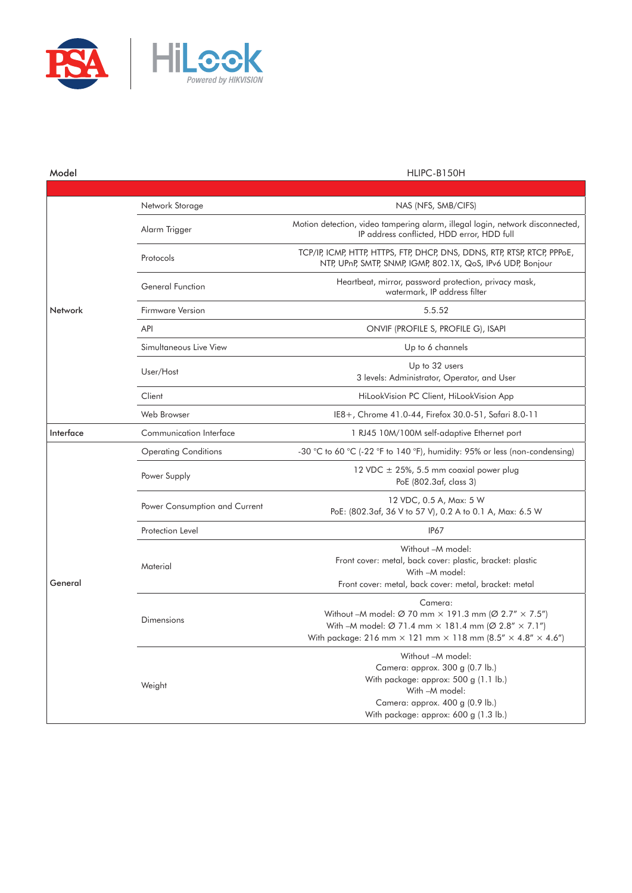

| Model     |                               | HLIPC-B150H                                                                                                                                                                                                                                                                                     |
|-----------|-------------------------------|-------------------------------------------------------------------------------------------------------------------------------------------------------------------------------------------------------------------------------------------------------------------------------------------------|
|           |                               |                                                                                                                                                                                                                                                                                                 |
| Network   | Network Storage               | NAS (NFS, SMB/CIFS)                                                                                                                                                                                                                                                                             |
|           | Alarm Trigger                 | Motion detection, video tampering alarm, illegal login, network disconnected,<br>IP address conflicted, HDD error, HDD full                                                                                                                                                                     |
|           | Protocols                     | TCP/IP, ICMP, HTTP, HTTPS, FTP, DHCP, DNS, DDNS, RTP, RTSP, RTCP, PPPoE,<br>NTP, UPnP, SMTP, SNMP, IGMP, 802.1X, QoS, IPv6 UDP, Bonjour                                                                                                                                                         |
|           | <b>General Function</b>       | Heartbeat, mirror, password protection, privacy mask,<br>watermark, IP address filter                                                                                                                                                                                                           |
|           | <b>Firmware Version</b>       | 5.5.52                                                                                                                                                                                                                                                                                          |
|           | <b>API</b>                    | ONVIF (PROFILE S, PROFILE G), ISAPI                                                                                                                                                                                                                                                             |
|           | Simultaneous Live View        | Up to 6 channels                                                                                                                                                                                                                                                                                |
|           | User/Host                     | Up to 32 users<br>3 levels: Administrator, Operator, and User                                                                                                                                                                                                                                   |
|           | Client                        | HiLookVision PC Client, HiLookVision App                                                                                                                                                                                                                                                        |
|           | Web Browser                   | IE8+, Chrome 41.0-44, Firefox 30.0-51, Safari 8.0-11                                                                                                                                                                                                                                            |
| Interface | Communication Interface       | 1 RJ45 10M/100M self-adaptive Ethernet port                                                                                                                                                                                                                                                     |
| General   | <b>Operating Conditions</b>   | -30 °C to 60 °C (-22 °F to 140 °F), humidity: 95% or less (non-condensing)                                                                                                                                                                                                                      |
|           | Power Supply                  | 12 VDC $\pm$ 25%, 5.5 mm coaxial power plug<br>PoE (802.3af, class 3)                                                                                                                                                                                                                           |
|           | Power Consumption and Current | 12 VDC, 0.5 A, Max: 5 W<br>PoE: (802.3af, 36 V to 57 V), 0.2 A to 0.1 A, Max: 6.5 W                                                                                                                                                                                                             |
|           | Protection Level              | <b>IP67</b>                                                                                                                                                                                                                                                                                     |
|           | Material                      | Without -M model:<br>Front cover: metal, back cover: plastic, bracket: plastic<br>With -M model:<br>Front cover: metal, back cover: metal, bracket: metal                                                                                                                                       |
|           | Dimensions                    | Camera:<br>Without -M model: $\varnothing$ 70 mm $\times$ 191.3 mm ( $\varnothing$ 2.7" $\times$ 7.5")<br>With -M model: $\varnothing$ 71.4 mm $\times$ 181.4 mm ( $\varnothing$ 2.8" $\times$ 7.1")<br>With package: 216 mm $\times$ 121 mm $\times$ 118 mm (8.5" $\times$ 4.8" $\times$ 4.6") |
|           | Weight                        | Without -M model:<br>Camera: approx. 300 g (0.7 lb.)<br>With package: approx: 500 g (1.1 lb.)<br>With -M model:<br>Camera: approx. 400 g (0.9 lb.)<br>With package: approx: 600 g (1.3 lb.)                                                                                                     |